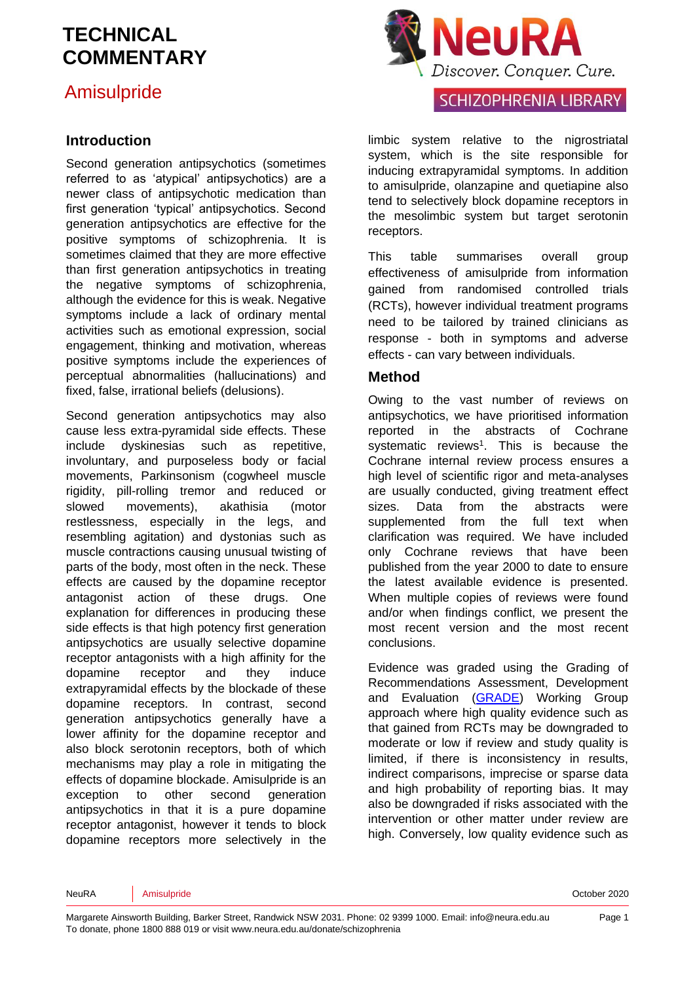## Amisulpride

#### **Introduction**

Second generation antipsychotics (sometimes referred to as 'atypical' antipsychotics) are a newer class of antipsychotic medication than first generation 'typical' antipsychotics. Second generation antipsychotics are effective for the positive symptoms of schizophrenia. It is sometimes claimed that they are more effective than first generation antipsychotics in treating the negative symptoms of schizophrenia, although the evidence for this is weak. Negative symptoms include a lack of ordinary mental activities such as emotional expression, social engagement, thinking and motivation, whereas positive symptoms include the experiences of perceptual abnormalities (hallucinations) and fixed, false, irrational beliefs (delusions).

Second generation antipsychotics may also cause less extra-pyramidal side effects. These include dyskinesias such as repetitive, involuntary, and purposeless body or facial movements, Parkinsonism (cogwheel muscle rigidity, pill-rolling tremor and reduced or slowed movements), akathisia (motor restlessness, especially in the legs, and resembling agitation) and dystonias such as muscle contractions causing unusual twisting of parts of the body, most often in the neck. These effects are caused by the dopamine receptor antagonist action of these drugs. One explanation for differences in producing these side effects is that high potency first generation antipsychotics are usually selective dopamine receptor antagonists with a high affinity for the dopamine receptor and they induce extrapyramidal effects by the blockade of these dopamine receptors. In contrast, second generation antipsychotics generally have a lower affinity for the dopamine receptor and also block serotonin receptors, both of which mechanisms may play a role in mitigating the effects of dopamine blockade. Amisulpride is an exception to other second generation antipsychotics in that it is a pure dopamine receptor antagonist, however it tends to block dopamine receptors more selectively in the



#### **SCHIZOPHRENIA LIBRARY**

limbic system relative to the nigrostriatal system, which is the site responsible for inducing extrapyramidal symptoms. In addition to amisulpride, olanzapine and quetiapine also tend to selectively block dopamine receptors in the mesolimbic system but target serotonin receptors.

This table summarises overall group effectiveness of amisulpride from information gained from randomised controlled trials (RCTs), however individual treatment programs need to be tailored by trained clinicians as response - both in symptoms and adverse effects - can vary between individuals.

#### **Method**

Owing to the vast number of reviews on antipsychotics, we have prioritised information reported in the abstracts of Cochrane [s](#page-7-0)ystematic reviews<sup>1</sup>. This is because the Cochrane internal review process ensures a high level of scientific rigor and meta-analyses are usually conducted, giving treatment effect sizes. Data from the abstracts were supplemented from the full text when clarification was required. We have included only Cochrane reviews that have been published from the year 2000 to date to ensure the latest available evidence is presented. When multiple copies of reviews were found and/or when findings conflict, we present the most recent version and the most recent conclusions.

Evidence was graded using the Grading of Recommendations Assessment, Development and Evaluation [\(GRADE\)](http://www.gradeworkinggroup.org/) Working Group approach where high quality evidence such as that gained from RCTs may be downgraded to moderate or low if review and study quality is limited, if there is inconsistency in results, indirect comparisons, imprecise or sparse data and high probability of reporting bias. It may also be downgraded if risks associated with the intervention or other matter under review are high. Conversely, low quality evidence such as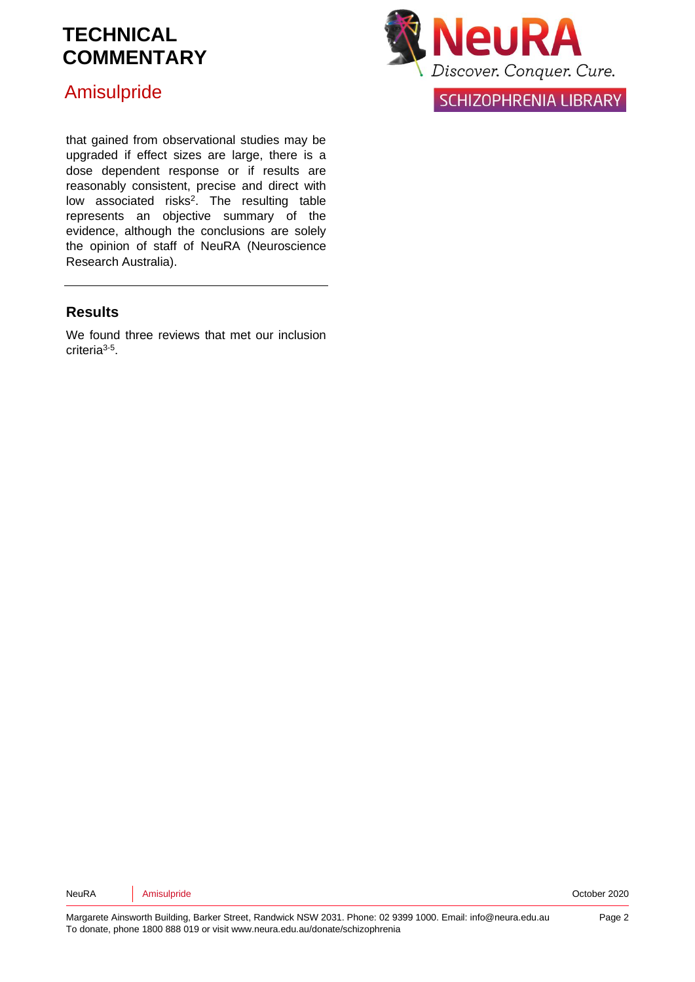### Amisulpride



**SCHIZOPHRENIA LIBRARY** 

that gained from observational studies may be upgraded if effect sizes are large, there is a dose dependent response or if results are reasonably consistent, precise and direct with low associated risks<sup>2</sup>[.](#page-7-1) The resulting table represents an objective summary of the evidence, although the conclusions are solely the opinion of staff of NeuRA (Neuroscience Research Australia).

#### **Results**

We found three reviews that met our inclusion criteria[3-5](#page-7-2) .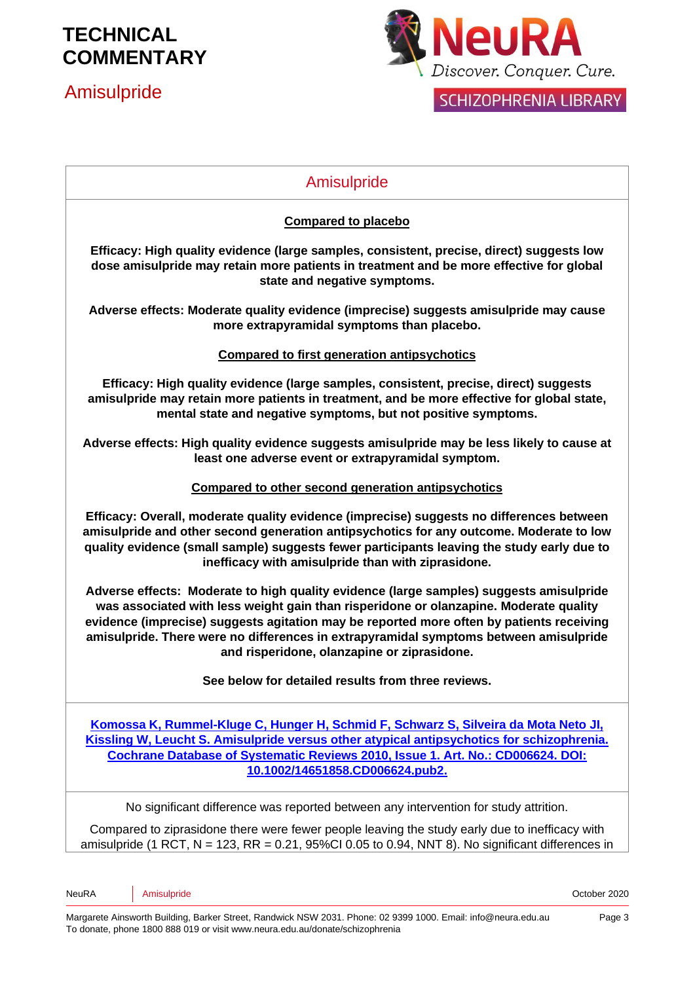## Amisulpride



## Amisulpride **Compared to placebo Efficacy: High quality evidence (large samples, consistent, precise, direct) suggests low dose amisulpride may retain more patients in treatment and be more effective for global state and negative symptoms. Adverse effects: Moderate quality evidence (imprecise) suggests amisulpride may cause more extrapyramidal symptoms than placebo. Compared to first generation antipsychotics Efficacy: High quality evidence (large samples, consistent, precise, direct) suggests amisulpride may retain more patients in treatment, and be more effective for global state, mental state and negative symptoms, but not positive symptoms. Adverse effects: High quality evidence suggests amisulpride may be less likely to cause at least one adverse event or extrapyramidal symptom. Compared to other second generation antipsychotics Efficacy: Overall, moderate quality evidence (imprecise) suggests no differences between amisulpride and other second generation antipsychotics for any outcome. Moderate to low quality evidence (small sample) suggests fewer participants leaving the study early due to inefficacy with amisulpride than with ziprasidone. Adverse effects: Moderate to high quality evidence (large samples) suggests amisulpride was associated with less weight gain than risperidone or olanzapine. Moderate quality evidence (imprecise) suggests agitation may be reported more often by patients receiving amisulpride. There were no differences in extrapyramidal symptoms between amisulpride and risperidone, olanzapine or ziprasidone. See below for detailed results from three reviews. [Komossa K, Rummel-Kluge C, Hunger H, Schmid F, Schwarz S, Silveira da Mota Neto JI,](http://onlinelibrary.wiley.com/o/cochrane/clsysrev/articles/CD006624/frame.html)  Kissling [W, Leucht S. Amisulpride versus other atypical antipsychotics for schizophrenia.](http://onlinelibrary.wiley.com/o/cochrane/clsysrev/articles/CD006624/frame.html)  [Cochrane Database of Systematic Reviews 2010, Issue 1. Art. No.: CD006624.](http://onlinelibrary.wiley.com/o/cochrane/clsysrev/articles/CD006624/frame.html) DOI: 10.1002/14651858.CD006624.pub2.** No significant difference was reported between any intervention for study attrition. Compared to ziprasidone there were fewer people leaving the study early due to inefficacy with amisulpride (1 RCT,  $N = 123$ , RR = 0.21, 95%Cl 0.05 to 0.94, NNT 8). No significant differences in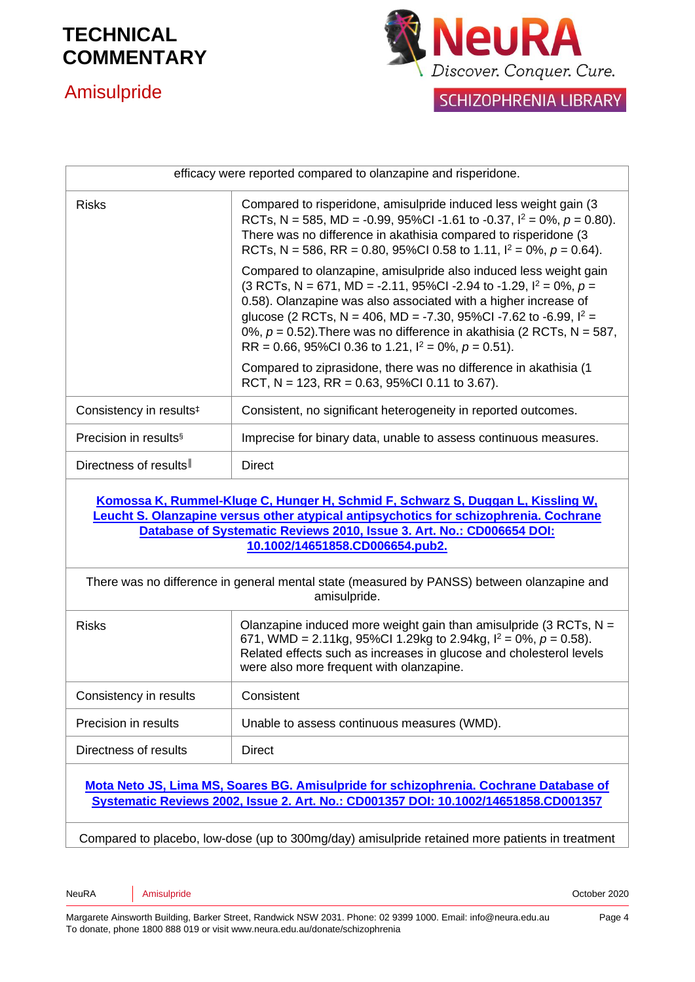

### Amisulpride



**SCHIZOPHRENIA LIBRARY** 

| efficacy were reported compared to olanzapine and risperidone.                                                                                                                                                                                                                                                                                                                                                                   |  |
|----------------------------------------------------------------------------------------------------------------------------------------------------------------------------------------------------------------------------------------------------------------------------------------------------------------------------------------------------------------------------------------------------------------------------------|--|
| Compared to risperidone, amisulpride induced less weight gain (3)<br>RCTs, N = 585, MD = -0.99, 95%Cl -1.61 to -0.37, $I^2 = 0\%$ , $p = 0.80$ ).<br>There was no difference in akathisia compared to risperidone (3<br>RCTs, N = 586, RR = 0.80, 95%CI 0.58 to 1.11, $I^2 = 0\%$ , $p = 0.64$ ).                                                                                                                                |  |
| Compared to olanzapine, amisulpride also induced less weight gain<br>(3 RCTs, N = 671, MD = -2.11, 95%CI -2.94 to -1.29, $I^2 = 0\%$ , $p =$<br>0.58). Olanzapine was also associated with a higher increase of<br>glucose (2 RCTs, N = 406, MD = -7.30, 95%Cl -7.62 to -6.99, $I^2$ =<br>0%, $p = 0.52$ ). There was no difference in akathisia (2 RCTs, N = 587,<br>RR = 0.66, 95%Cl 0.36 to 1.21, $I^2 = 0\%$ , $p = 0.51$ ). |  |
| Compared to ziprasidone, there was no difference in akathisia (1<br>RCT, N = 123, RR = 0.63, 95%Cl 0.11 to 3.67).                                                                                                                                                                                                                                                                                                                |  |
| Consistent, no significant heterogeneity in reported outcomes.                                                                                                                                                                                                                                                                                                                                                                   |  |
| Imprecise for binary data, unable to assess continuous measures.                                                                                                                                                                                                                                                                                                                                                                 |  |
| <b>Direct</b>                                                                                                                                                                                                                                                                                                                                                                                                                    |  |
| Komossa K, Rummel-Kluge C, Hunger H, Schmid F, Schwarz S, Duggan L, Kissling W,<br>Leucht S. Olanzapine versus other atypical antipsychotics for schizophrenia. Cochrane<br>Database of Systematic Reviews 2010, Issue 3. Art. No.: CD006654 DOI:<br>10.1002/14651858.CD006654.pub2.                                                                                                                                             |  |
| There was no difference in general mental state (measured by PANSS) between olanzapine and<br>amisulpride.                                                                                                                                                                                                                                                                                                                       |  |
| Olanzapine induced more weight gain than amisulpride (3 RCTs, $N =$<br>671, WMD = 2.11kg, 95%Cl 1.29kg to 2.94kg, $I^2 = 0\%$ , $p = 0.58$ ).<br>Related effects such as increases in glucose and cholesterol levels<br>were also more frequent with olanzapine.                                                                                                                                                                 |  |
| Consistent                                                                                                                                                                                                                                                                                                                                                                                                                       |  |
|                                                                                                                                                                                                                                                                                                                                                                                                                                  |  |

Precision in results **Unable to assess continuous measures (WMD).** Directness of results | Direct

**[Mota Neto JS, Lima MS, Soares BG. Amisulpride for schizophrenia. Cochrane Database of](http://www.mrw.interscience.wiley.com/cochrane/clsysrev/articles/CD001357/frame.html)  Systematic Reviews [2002, Issue 2. Art. No.:](http://www.mrw.interscience.wiley.com/cochrane/clsysrev/articles/CD001357/frame.html) CD001357 DOI: 10.1002/14651858.CD001357**

Compared to placebo, low-dose (up to 300mg/day) amisulpride retained more patients in treatment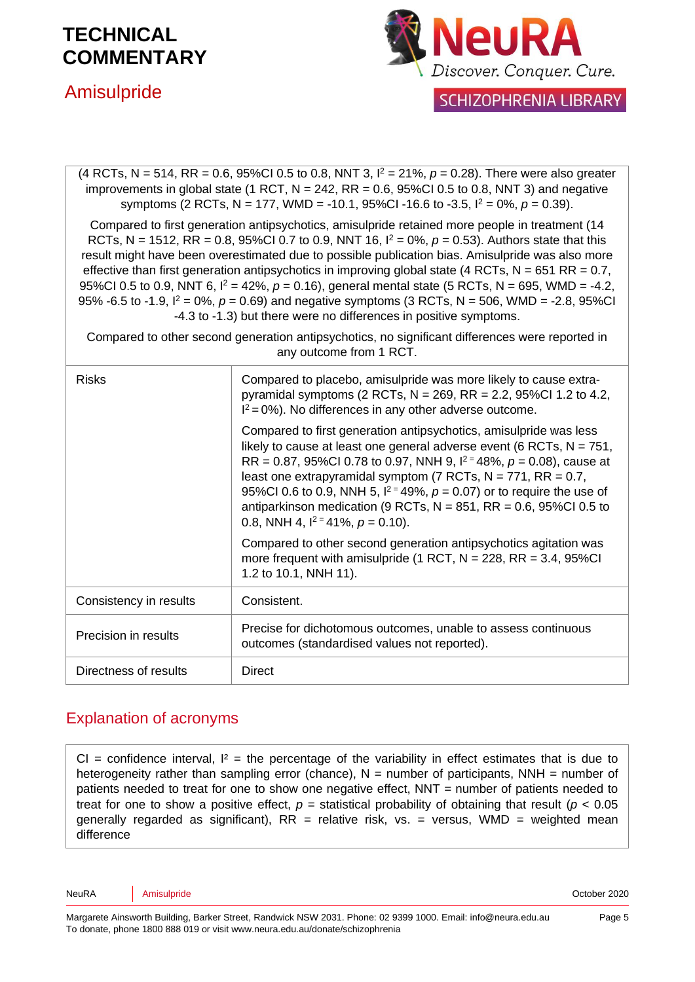### Amisulpride



**SCHIZOPHRENIA LIBRARY** 

| (4 RCTs, N = 514, RR = 0.6, 95%Cl 0.5 to 0.8, NNT 3, $l^2 = 21\%$ , $p = 0.28$ ). There were also greater<br>improvements in global state (1 RCT, $N = 242$ , RR = 0.6, 95%Cl 0.5 to 0.8, NNT 3) and negative<br>symptoms (2 RCTs, N = 177, WMD = -10.1, 95%CI -16.6 to -3.5, $I^2 = 0\%$ , $p = 0.39$ ).                                                                                                                                                                                                                                                                                                                                                                                                        |                                                                                                                                                                                                                                                                                                                                                                                                                                                                                               |  |
|------------------------------------------------------------------------------------------------------------------------------------------------------------------------------------------------------------------------------------------------------------------------------------------------------------------------------------------------------------------------------------------------------------------------------------------------------------------------------------------------------------------------------------------------------------------------------------------------------------------------------------------------------------------------------------------------------------------|-----------------------------------------------------------------------------------------------------------------------------------------------------------------------------------------------------------------------------------------------------------------------------------------------------------------------------------------------------------------------------------------------------------------------------------------------------------------------------------------------|--|
| Compared to first generation antipsychotics, amisulpride retained more people in treatment (14<br>RCTs, N = 1512, RR = 0.8, 95%Cl 0.7 to 0.9, NNT 16, $I^2 = 0\%$ , $p = 0.53$ ). Authors state that this<br>result might have been overestimated due to possible publication bias. Amisulpride was also more<br>effective than first generation antipsychotics in improving global state (4 RCTs, $N = 651$ RR = 0.7,<br>95%Cl 0.5 to 0.9, NNT 6, $I^2 = 42\%$ , $p = 0.16$ ), general mental state (5 RCTs, N = 695, WMD = -4.2,<br>95% -6.5 to -1.9, $I^2 = 0$ %, $p = 0.69$ ) and negative symptoms (3 RCTs, N = 506, WMD = -2.8, 95%CI<br>-4.3 to -1.3) but there were no differences in positive symptoms. |                                                                                                                                                                                                                                                                                                                                                                                                                                                                                               |  |
| Compared to other second generation antipsychotics, no significant differences were reported in<br>any outcome from 1 RCT.                                                                                                                                                                                                                                                                                                                                                                                                                                                                                                                                                                                       |                                                                                                                                                                                                                                                                                                                                                                                                                                                                                               |  |
| <b>Risks</b>                                                                                                                                                                                                                                                                                                                                                                                                                                                                                                                                                                                                                                                                                                     | Compared to placebo, amisulpride was more likely to cause extra-<br>pyramidal symptoms (2 RCTs, $N = 269$ , RR = 2.2, 95%Cl 1.2 to 4.2,<br>$I^2 = 0\%$ ). No differences in any other adverse outcome.                                                                                                                                                                                                                                                                                        |  |
|                                                                                                                                                                                                                                                                                                                                                                                                                                                                                                                                                                                                                                                                                                                  | Compared to first generation antipsychotics, amisulpride was less<br>likely to cause at least one general adverse event (6 RCTs, $N = 751$ ,<br>RR = 0.87, 95%Cl 0.78 to 0.97, NNH 9, $1^2$ = 48%, $p = 0.08$ ), cause at<br>least one extrapyramidal symptom (7 RCTs, $N = 771$ , RR = 0.7,<br>95%Cl 0.6 to 0.9, NNH 5, $1^2$ = 49%, $p = 0.07$ ) or to require the use of<br>antiparkinson medication (9 RCTs, $N = 851$ , RR = 0.6, 95%Cl 0.5 to<br>0.8, NNH 4, $1^2$ = 41%, $p = 0.10$ ). |  |
|                                                                                                                                                                                                                                                                                                                                                                                                                                                                                                                                                                                                                                                                                                                  | Compared to other second generation antipsychotics agitation was<br>more frequent with amisulpride (1 RCT, $N = 228$ , RR = 3.4, 95%CI<br>1.2 to 10.1, NNH 11).                                                                                                                                                                                                                                                                                                                               |  |
| Consistency in results                                                                                                                                                                                                                                                                                                                                                                                                                                                                                                                                                                                                                                                                                           | Consistent.                                                                                                                                                                                                                                                                                                                                                                                                                                                                                   |  |
| Precision in results                                                                                                                                                                                                                                                                                                                                                                                                                                                                                                                                                                                                                                                                                             | Precise for dichotomous outcomes, unable to assess continuous<br>outcomes (standardised values not reported).                                                                                                                                                                                                                                                                                                                                                                                 |  |
| Directness of results                                                                                                                                                                                                                                                                                                                                                                                                                                                                                                                                                                                                                                                                                            | <b>Direct</b>                                                                                                                                                                                                                                                                                                                                                                                                                                                                                 |  |

#### Explanation of acronyms

CI = confidence interval,  $I^2$  = the percentage of the variability in effect estimates that is due to heterogeneity rather than sampling error (chance),  $N =$  number of participants, NNH = number of patients needed to treat for one to show one negative effect, NNT = number of patients needed to treat for one to show a positive effect,  $p =$  statistical probability of obtaining that result ( $p < 0.05$ ) generally regarded as significant),  $RR =$  relative risk, vs. = versus, WMD = weighted mean difference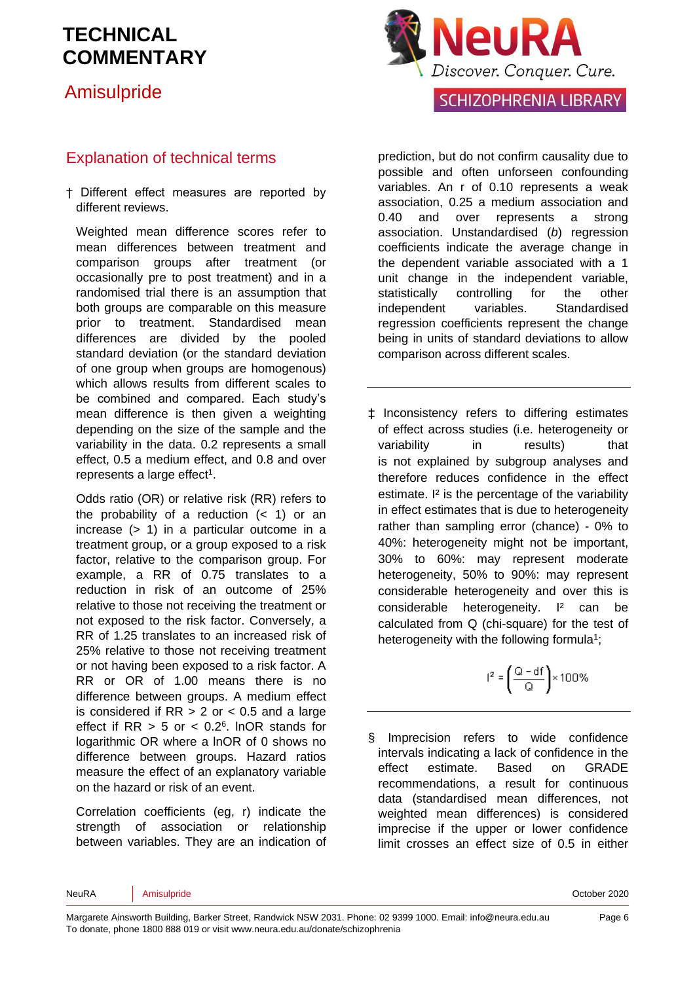## Amisulpride

#### Explanation of technical terms

† Different effect measures are reported by different reviews.

Weighted mean difference scores refer to mean differences between treatment and comparison groups after treatment (or occasionally pre to post treatment) and in a randomised trial there is an assumption that both groups are comparable on this measure prior to treatment. Standardised mean differences are divided by the pooled standard deviation (or the standard deviation of one group when groups are homogenous) which allows results from different scales to be combined and compared. Each study's mean difference is then given a weighting depending on the size of the sample and the variability in the data. 0.2 represents a small effect, 0.5 a medium effect, and 0.8 and over represents a large effect<sup>1</sup>[.](#page-7-0)

Odds ratio (OR) or relative risk (RR) refers to the probability of a reduction  $($  1) or an increase (> 1) in a particular outcome in a treatment group, or a group exposed to a risk factor, relative to the comparison group. For example, a RR of 0.75 translates to a reduction in risk of an outcome of 25% relative to those not receiving the treatment or not exposed to the risk factor. Conversely, a RR of 1.25 translates to an increased risk of 25% relative to those not receiving treatment or not having been exposed to a risk factor. A RR or OR of 1.00 means there is no difference between groups. A medium effect is considered if  $RR > 2$  or  $< 0.5$  and a large effect if  $RR > 5$  or  $< 0.2<sup>6</sup>$  $< 0.2<sup>6</sup>$  $< 0.2<sup>6</sup>$ . InOR stands for logarithmic OR where a lnOR of 0 shows no difference between groups. Hazard ratios measure the effect of an explanatory variable on the hazard or risk of an event.

Correlation coefficients (eg, r) indicate the strength of association or relationship between variables. They are an indication of



#### **SCHIZOPHRENIA LIBRARY**

prediction, but do not confirm causality due to possible and often unforseen confounding variables. An r of 0.10 represents a weak association, 0.25 a medium association and 0.40 and over represents a strong association. Unstandardised (*b*) regression coefficients indicate the average change in the dependent variable associated with a 1 unit change in the independent variable, statistically controlling for the other independent variables. Standardised regression coefficients represent the change being in units of standard deviations to allow comparison across different scales.

‡ Inconsistency refers to differing estimates of effect across studies (i.e. heterogeneity or variability in results) that is not explained by subgroup analyses and therefore reduces confidence in the effect estimate. I² is the percentage of the variability in effect estimates that is due to heterogeneity rather than sampling error (chance) - 0% to 40%: heterogeneity might not be important, 30% to 60%: may represent moderate heterogeneity, 50% to 90%: may represent considerable heterogeneity and over this is considerable heterogeneity. I² can be calculated from Q (chi-square) for the test of heterogeneity with the following formul[a](#page-7-0)<sup>1</sup>;

$$
l^2=\left(\frac{Q-df}{Q}\right)\times 100\%
$$

§ Imprecision refers to wide confidence intervals indicating a lack of confidence in the effect estimate. Based on GRADE recommendations, a result for continuous data (standardised mean differences, not weighted mean differences) is considered imprecise if the upper or lower confidence limit crosses an effect size of 0.5 in either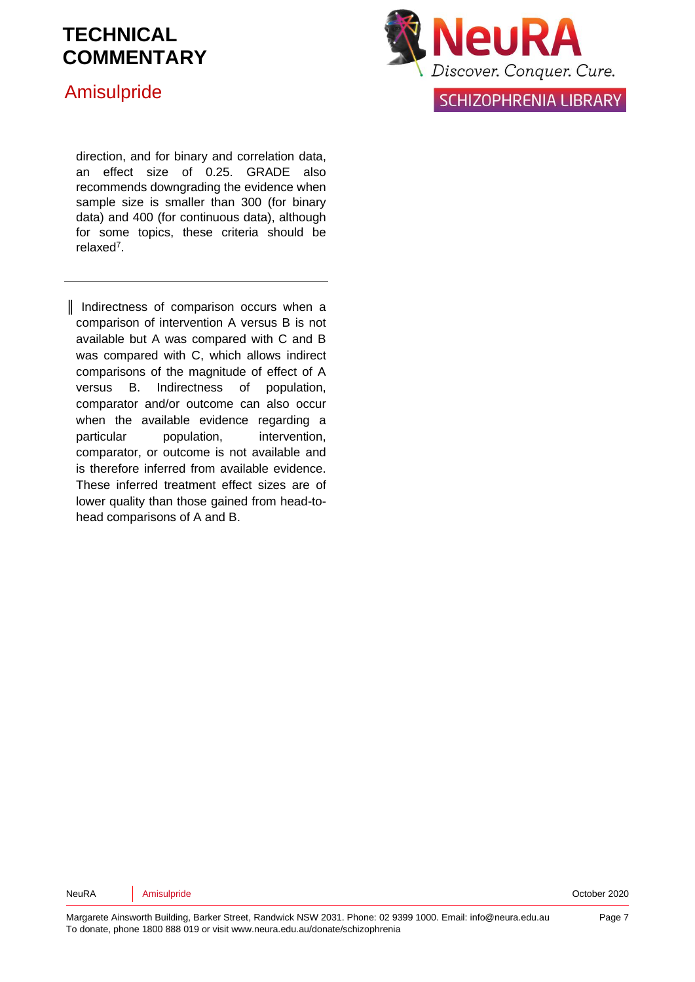### Amisulpride



**SCHIZOPHRENIA LIBRARY** 

direction, and for binary and correlation data, an effect size of 0.25. GRADE also recommends downgrading the evidence when sample size is smaller than 300 (for binary data) and 400 (for continuous data), although for some topics, these criteria should be relaxe[d](#page-7-4)<sup>7</sup> .

║ Indirectness of comparison occurs when a comparison of intervention A versus B is not available but A was compared with C and B was compared with C, which allows indirect comparisons of the magnitude of effect of A versus B. Indirectness of population, comparator and/or outcome can also occur when the available evidence regarding a particular population, intervention, comparator, or outcome is not available and is therefore inferred from available evidence. These inferred treatment effect sizes are of lower quality than those gained from head-tohead comparisons of A and B.